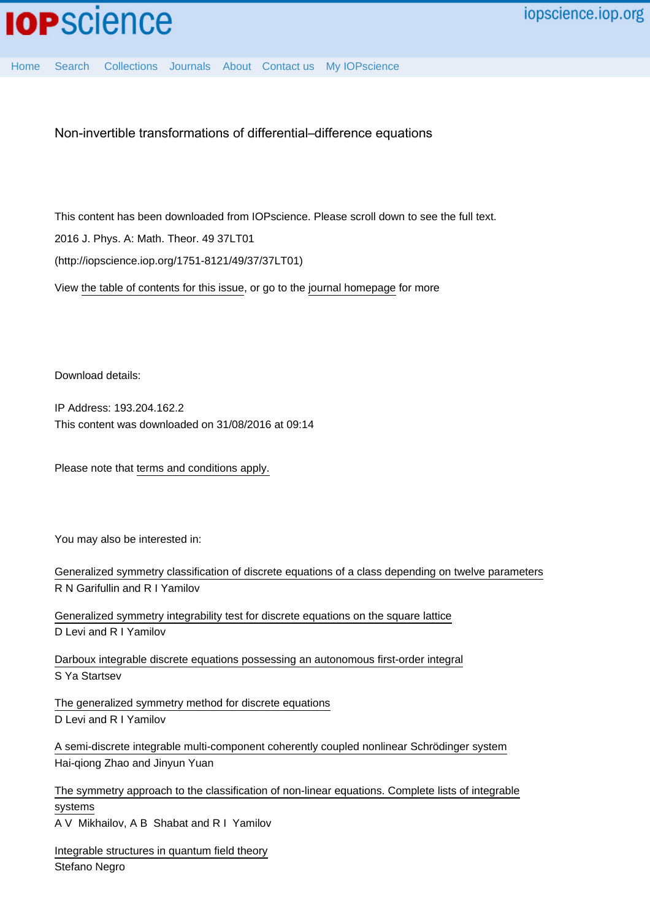[Home](http://iopscience.iop.org/) [Search](http://iopscience.iop.org/search) [Collections](http://iopscience.iop.org/collections) [Journals](http://iopscience.iop.org/journals) [About](http://iopscience.iop.org/page/aboutioppublishing) [Contact us](http://iopscience.iop.org/contact) [My IOPscience](http://iopscience.iop.org/myiopscience)

Non-invertible transformations of differential–difference equations

This content has been downloaded from IOPscience. Please scroll down to see the full text.

2016 J. Phys. A: Math. Theor. 49 37LT01

(http://iopscience.iop.org/1751-8121/49/37/37LT01)

View [the table of contents for this issue](http://iopscience.iop.org/1751-8121/49/37), or go to the [journal homepage](http://iopscience.iop.org/1751-8121) for more

Download details:

IP Address: 193.204.162.2 This content was downloaded on 31/08/2016 at 09:14

Please note that [terms and conditions apply.](http://iopscience.iop.org/page/terms)

You may also be interested in:

| Generalized symmetry classification of discrete equations of a class depending on twelve parameters |
|-----------------------------------------------------------------------------------------------------|
| R N Garifullin and R I Yamilov                                                                      |
| Generalized symmetry integrability test for discrete equations on the square lattice                |
| D Levi and R I Yamilov                                                                              |
| Darboux integrable discrete equations possessing an autonomous first-order integral                 |
| S Ya Startsev                                                                                       |
| The generalized symmetry method for discrete equations                                              |
| D Levi and R I Yamilov                                                                              |
| A semi-discrete integrable multi-component coherently coupled nonlinear Schrödinger system          |
| Hai-qiong Zhao and Jinyun Yuan                                                                      |
| The symmetry approach to the classification of non-linear equations. Complete lists of integrable   |
| systems                                                                                             |
| A V Mikhailov, A B Shabat and R I Yamilov                                                           |
| Integrable structures in quantum field theory                                                       |
| Stefano Negro                                                                                       |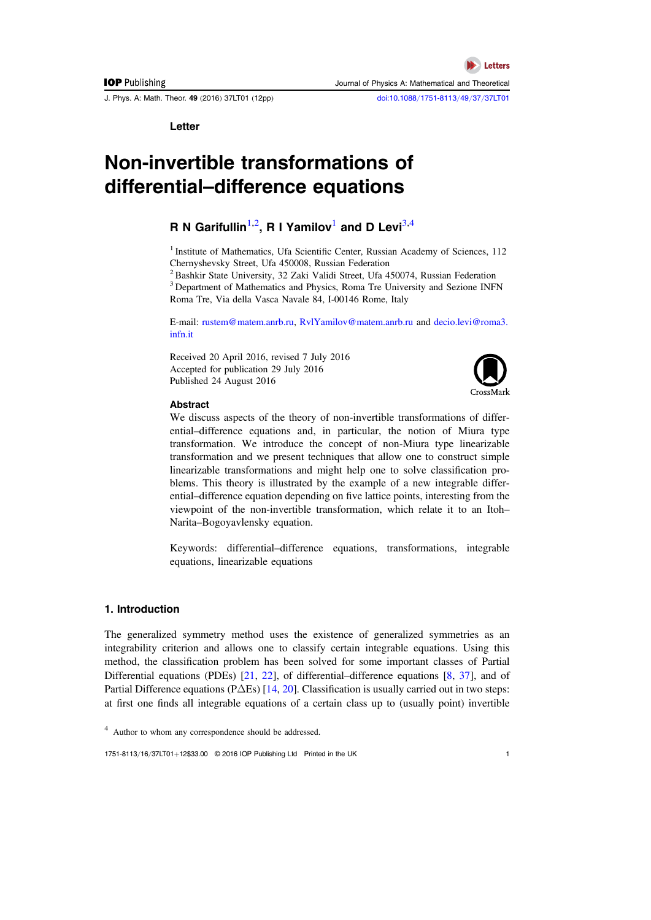J. Phys. A: Math. Theor. 49 (2016) 37LT01 (12pp) [doi:10.1088](http://dx.doi.org/10.1088/1751-8113/49/37/37LT01)/1751-8113/49/37/37LT01

**Letters** 

Journal of Physics A: Mathematical and Theoretical

Letter

# Non-invertible transformations of differential–difference equations

# **R** N Garifullin $^{1,2}$  $^{1,2}$  $^{1,2}$  $^{1,2}$ , R I Yamilov $^1$  and D Levi $^{3,4}$  $^{3,4}$  $^{3,4}$  $^{3,4}$

<span id="page-1-0"></span><sup>1</sup> Institute of Mathematics, Ufa Scientific Center, Russian Academy of Sciences, 112 Chernyshevsky Street, Ufa 450008, Russian Federation

<span id="page-1-2"></span><span id="page-1-1"></span> $^{2}$ Bashkir State University, 32 Zaki Validi Street, Ufa 450074, Russian Federation <sup>3</sup> Department of Mathematics and Physics, Roma Tre University and Sezione INFN Roma Tre, Via della Vasca Navale 84, I-00146 Rome, Italy

E-mail: [rustem@matem.anrb.ru,](mailto:rustem@matem.anrb.ru) [RvlYamilov@matem.anrb.ru](mailto:RvlYamilov@matem.anrb.ru) and [decio.levi@roma3.](mailto:decio.levi@roma3.infn.it) [infn.it](mailto:decio.levi@roma3.infn.it)

Received 20 April 2016, revised 7 July 2016 Accepted for publication 29 July 2016 Published 24 August 2016



#### Abstract

We discuss aspects of the theory of non-invertible transformations of differential–difference equations and, in particular, the notion of Miura type transformation. We introduce the concept of non-Miura type linearizable transformation and we present techniques that allow one to construct simple linearizable transformations and might help one to solve classification problems. This theory is illustrated by the example of a new integrable differential–difference equation depending on five lattice points, interesting from the viewpoint of the non-invertible transformation, which relate it to an Itoh– Narita–Bogoyavlensky equation.

Keywords: differential–difference equations, transformations, integrable equations, linearizable equations

# 1. Introduction

The generalized symmetry method uses the existence of generalized symmetries as an integrability criterion and allows one to classify certain integrable equations. Using this method, the classification problem has been solved for some important classes of Partial Differential equations (PDEs) [[21](#page-12-0), [22](#page-12-1)], of differential–difference equations [[8,](#page-11-0) [37](#page-12-2)], and of Partial Difference equations (PΔEs) [[14,](#page-11-1) [20](#page-12-3)]. Classification is usually carried out in two steps: at first one finds all integrable equations of a certain class up to (usually point) invertible

1751-8113/16/37LT01+12\$33.00 © 2016 IOP Publishing Ltd Printed in the UK 1

<span id="page-1-3"></span><sup>4</sup> Author to whom any correspondence should be addressed.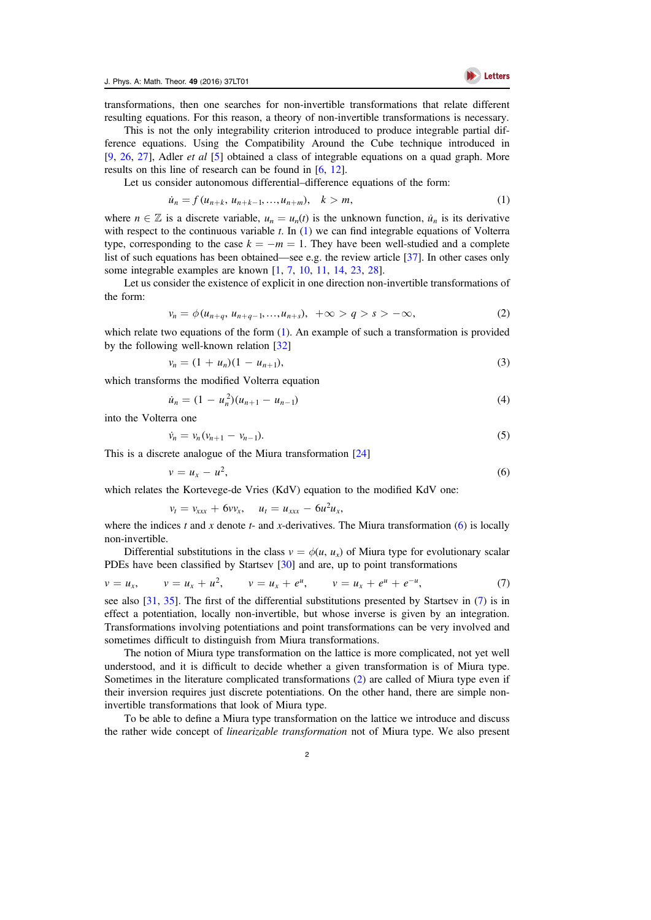

transformations, then one searches for non-invertible transformations that relate different resulting equations. For this reason, a theory of non-invertible transformations is necessary.

This is not the only integrability criterion introduced to produce integrable partial difference equations. Using the Compatibility Around the Cube technique introduced in [[9,](#page-11-2) [26,](#page-12-4) [27](#page-12-5)], Adler et al [[5](#page-11-3)] obtained a class of integrable equations on a quad graph. More results on this line of research can be found in [[6](#page-11-4), [12](#page-11-5)].

<span id="page-2-0"></span>Let us consider autonomous differential–difference equations of the form:

$$
\dot{u}_n = f(u_{n+k}, u_{n+k-1}, \dots, u_{n+m}), \quad k > m,
$$
\n(1)

where  $n \in \mathbb{Z}$  is a discrete variable,  $u_n = u_n(t)$  is the unknown function,  $\dot{u}_n$  is its derivative with respect to the continuous variable  $t$ . In  $(1)$  $(1)$  $(1)$  we can find integrable equations of Volterra type, corresponding to the case  $k = -m = 1$ . They have been well-studied and a complete list of such equations has been obtained—see e.g. the review article [[37](#page-12-2)]. In other cases only some integrable examples are known [[1,](#page-11-6) [7,](#page-11-7) [10](#page-11-8), [11](#page-11-9), [14](#page-11-1), [23,](#page-12-6) [28](#page-12-7)].

<span id="page-2-3"></span>Let us consider the existence of explicit in one direction non-invertible transformations of the form:

$$
v_n = \phi(u_{n+q}, u_{n+q-1}, ..., u_{n+s}), \quad +\infty > q > s > -\infty,
$$
\n(2)

<span id="page-2-4"></span>which relate two equations of the form ([1](#page-2-0)). An example of such a transformation is provided by the following well-known relation [[32](#page-12-8)]

$$
v_n = (1 + u_n)(1 - u_{n+1}),
$$
\n(3)

which transforms the modified Volterra equation

$$
\dot{u}_n = (1 - u_n^2)(u_{n+1} - u_{n-1})\tag{4}
$$

<span id="page-2-5"></span>into the Volterra one

$$
\dot{v}_n = v_n (v_{n+1} - v_{n-1}). \tag{5}
$$

<span id="page-2-1"></span>This is a discrete analogue of the Miura transformation [[24](#page-12-9)]

$$
v = u_x - u^2,\tag{6}
$$

which relates the Kortevege-de Vries (KdV) equation to the modified KdV one:

$$
v_t = v_{xxx} + 6vv_x
$$
,  $u_t = u_{xxx} - 6u^2u_x$ ,

where the indices t and x denote t- and x-derivatives. The Miura transformation  $(6)$  $(6)$  $(6)$  is locally non-invertible.

<span id="page-2-2"></span>Differential substitutions in the class  $v = \phi(u, u_x)$  of Miura type for evolutionary scalar PDEs have been classified by Startsev [[30](#page-12-10)] and are, up to point transformations

$$
v = u_x
$$
,  $v = u_x + u^2$ ,  $v = u_x + e^u$ ,  $v = u_x + e^u + e^{-u}$ , (7)

see also [[31,](#page-12-11) [35](#page-12-12)]. The first of the differential substitutions presented by Startsev in ([7](#page-2-2)) is in effect a potentiation, locally non-invertible, but whose inverse is given by an integration. Transformations involving potentiations and point transformations can be very involved and sometimes difficult to distinguish from Miura transformations.

The notion of Miura type transformation on the lattice is more complicated, not yet well understood, and it is difficult to decide whether a given transformation is of Miura type. Sometimes in the literature complicated transformations ([2](#page-2-3)) are called of Miura type even if their inversion requires just discrete potentiations. On the other hand, there are simple noninvertible transformations that look of Miura type.

To be able to define a Miura type transformation on the lattice we introduce and discuss the rather wide concept of linearizable transformation not of Miura type. We also present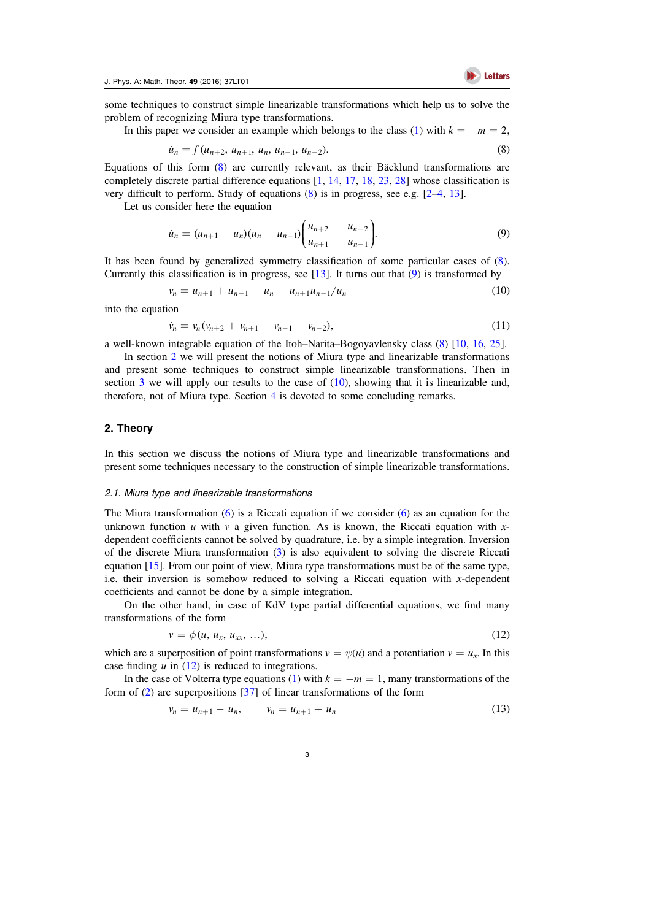

<span id="page-3-0"></span>some techniques to construct simple linearizable transformations which help us to solve the problem of recognizing Miura type transformations.

In this paper we consider an example which belongs to the class ([1](#page-2-0)) with  $k = -m = 2$ ,

$$
\dot{u}_n = f(u_{n+2}, u_{n+1}, u_n, u_{n-1}, u_{n-2}). \tag{8}
$$

Equations of this form ([8](#page-3-0)) are currently relevant, as their Bäcklund transformations are completely discrete partial difference equations [[1,](#page-11-6) [14](#page-11-1), [17](#page-12-13), [18,](#page-12-14) [23](#page-12-6), [28](#page-12-7)] whose classification is very difficult to perform. Study of equations ([8](#page-3-0)) is in progress, see e.g. [[2](#page-11-10)–[4](#page-11-11), [13](#page-11-12)].

<span id="page-3-1"></span>Let us consider here the equation

$$
\dot{u}_n = (u_{n+1} - u_n)(u_n - u_{n-1}) \left( \frac{u_{n+2}}{u_{n+1}} - \frac{u_{n-2}}{u_{n-1}} \right).
$$
\n(9)

<span id="page-3-3"></span>It has been found by generalized symmetry classification of some particular cases of ([8](#page-3-0)). Currently this classification is in progress, see  $[13]$  $[13]$  $[13]$ . It turns out that  $(9)$  $(9)$  $(9)$  is transformed by

$$
v_n = u_{n+1} + u_{n-1} - u_n - u_{n+1}u_{n-1}/u_n \tag{10}
$$

<span id="page-3-6"></span>into the equation

$$
\dot{v}_n = v_n (v_{n+2} + v_{n+1} - v_{n-1} - v_{n-2}), \tag{11}
$$

a well-known integrable equation of the Itoh–Narita–Bogoyavlensky class ([8](#page-3-0)) [[10,](#page-11-8) [16](#page-11-13), [25](#page-12-15)].

In section [2](#page-3-2) we will present the notions of Miura type and linearizable transformations and present some techniques to construct simple linearizable transformations. Then in section [3](#page-10-0) we will apply our results to the case of  $(10)$  $(10)$  $(10)$ , showing that it is linearizable and, therefore, not of Miura type. Section [4](#page-10-1) is devoted to some concluding remarks.

#### <span id="page-3-2"></span>2. Theory

In this section we discuss the notions of Miura type and linearizable transformations and present some techniques necessary to the construction of simple linearizable transformations.

#### 2.1. Miura type and linearizable transformations

The Miura transformation  $(6)$  $(6)$  $(6)$  is a Riccati equation if we consider  $(6)$  as an equation for the unknown function  $u$  with  $v$  a given function. As is known, the Riccati equation with  $x$ dependent coefficients cannot be solved by quadrature, i.e. by a simple integration. Inversion of the discrete Miura transformation ([3](#page-2-4)) is also equivalent to solving the discrete Riccati equation [[15](#page-11-14)]. From our point of view, Miura type transformations must be of the same type, i.e. their inversion is somehow reduced to solving a Riccati equation with  $x$ -dependent coefficients and cannot be done by a simple integration.

<span id="page-3-4"></span>On the other hand, in case of KdV type partial differential equations, we find many transformations of the form

$$
v = \phi(u, u_x, u_{xx}, \ldots), \tag{12}
$$

which are a superposition of point transformations  $v = \psi(u)$  and a potentiation  $v = u_x$ . In this case finding  $u$  in ([12](#page-3-4)) is reduced to integrations.

<span id="page-3-5"></span>In the case of Volterra type equations ([1](#page-2-0)) with  $k = -m = 1$ , many transformations of the form of ([2](#page-2-3)) are superpositions [[37](#page-12-2)] of linear transformations of the form

$$
v_n = u_{n+1} - u_n, \qquad v_n = u_{n+1} + u_n \tag{13}
$$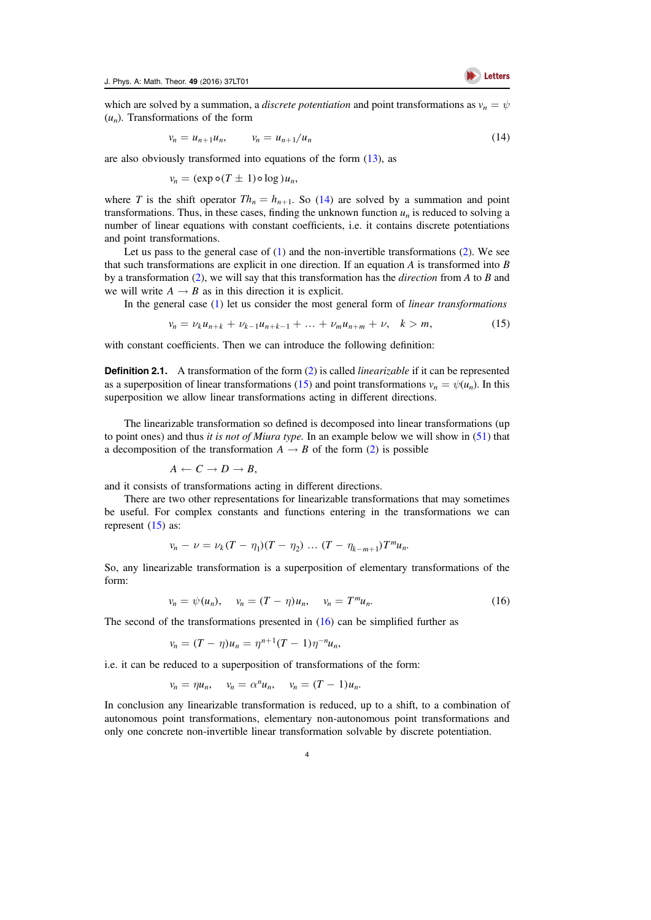<span id="page-4-0"></span>which are solved by a summation, a *discrete potentiation* and point transformations as  $v_n = \psi$  $(u_n)$ . Transformations of the form

$$
v_n = u_{n+1}u_n, \qquad v_n = u_{n+1}/u_n \tag{14}
$$

are also obviously transformed into equations of the form ([13](#page-3-5)), as

$$
v_n = (\exp \circ (T \pm 1) \circ \log u_n,
$$

where T is the shift operator  $Th_n = h_{n+1}$ . So ([14](#page-4-0)) are solved by a summation and point transformations. Thus, in these cases, finding the unknown function  $u_n$  is reduced to solving a number of linear equations with constant coefficients, i.e. it contains discrete potentiations and point transformations.

Let us pass to the general case of  $(1)$  $(1)$  $(1)$  and the non-invertible transformations  $(2)$  $(2)$  $(2)$ . We see that such transformations are explicit in one direction. If an equation  $A$  is transformed into  $B$ by a transformation  $(2)$  $(2)$  $(2)$ , we will say that this transformation has the *direction* from A to B and we will write  $A \rightarrow B$  as in this direction it is explicit.

<span id="page-4-1"></span>In the general case  $(1)$  $(1)$  $(1)$  let us consider the most general form of *linear transformations* 

$$
v_n = \nu_k u_{n+k} + \nu_{k-1} u_{n+k-1} + \dots + \nu_m u_{n+m} + \nu, \quad k > m,
$$
 (15)

with constant coefficients. Then we can introduce the following definition:

<span id="page-4-3"></span>**Definition [2](#page-2-3).1.** A transformation of the form (2) is called *linearizable* if it can be represented as a superposition of linear transformations ([15](#page-4-1)) and point transformations  $v_n = \psi(u_n)$ . In this superposition we allow linear transformations acting in different directions.

The linearizable transformation so defined is decomposed into linear transformations (up to point ones) and thus *it is not of Miura type*. In an example below we will show in  $(51)$  $(51)$  $(51)$  that a decomposition of the transformation  $A \rightarrow B$  of the form ([2](#page-2-3)) is possible

$$
A \leftarrow C \rightarrow D \rightarrow B,
$$

and it consists of transformations acting in different directions.

There are two other representations for linearizable transformations that may sometimes be useful. For complex constants and functions entering in the transformations we can represent  $(15)$  $(15)$  $(15)$  as:

$$
v_n - \nu = \nu_k (T - \eta_1)(T - \eta_2) \dots (T - \eta_{k-m+1}) T^m u_n.
$$

<span id="page-4-2"></span>So, any linearizable transformation is a superposition of elementary transformations of the form:

$$
v_n = \psi(u_n), \quad v_n = (T - \eta)u_n, \quad v_n = T^m u_n. \tag{16}
$$

The second of the transformations presented in ([16](#page-4-2)) can be simplified further as

$$
v_n = (T - \eta)u_n = \eta^{n+1}(T - 1)\eta^{-n}u_n,
$$

i.e. it can be reduced to a superposition of transformations of the form:

$$
v_n = \eta u_n, \quad v_n = \alpha^n u_n, \quad v_n = (T - 1)u_n.
$$

In conclusion any linearizable transformation is reduced, up to a shift, to a combination of autonomous point transformations, elementary non-autonomous point transformations and only one concrete non-invertible linear transformation solvable by discrete potentiation.

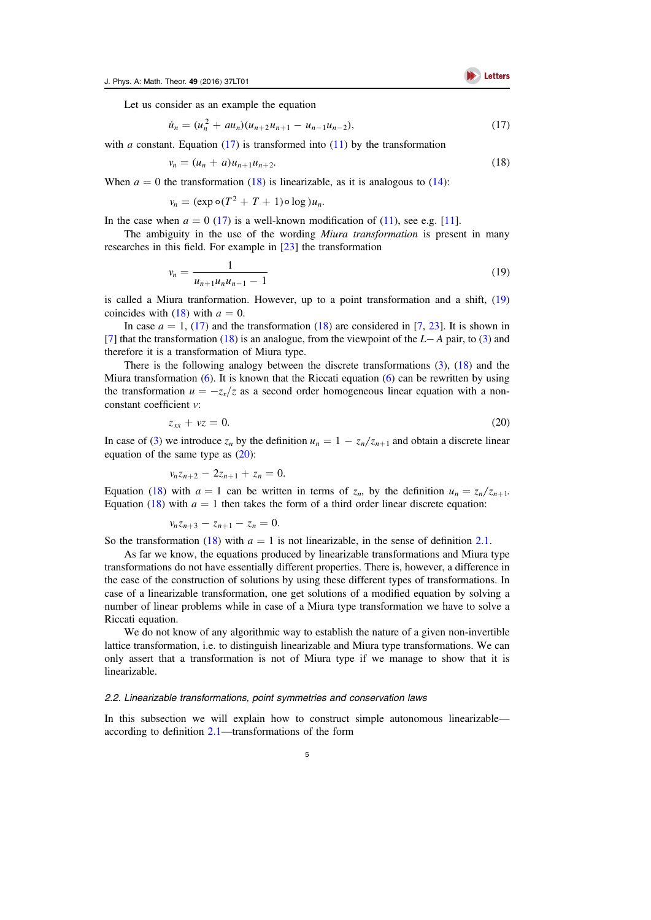

<span id="page-5-0"></span>Let us consider as an example the equation

$$
\dot{u}_n = (u_n^2 + au_n)(u_{n+2}u_{n+1} - u_{n-1}u_{n-2}),
$$
\n(17)

<span id="page-5-1"></span>with a constant. Equation ([17](#page-5-0)) is transformed into ([11](#page-3-6)) by the transformation

$$
v_n = (u_n + a)u_{n+1}u_{n+2}.\tag{18}
$$

When  $a = 0$  the transformation ([18](#page-5-1)) is linearizable, as it is analogous to ([14](#page-4-0)):

$$
v_n = (\exp \circ (T^2 + T + 1) \circ \log u_n).
$$

In the case when  $a = 0$  ([17](#page-5-0)) is a well-known modification of ([11](#page-11-9)), see e.g. [11].

<span id="page-5-2"></span>The ambiguity in the use of the wording *Miura transformation* is present in many researches in this field. For example in [[23](#page-12-6)] the transformation

$$
v_n = \frac{1}{u_{n+1}u_n u_{n-1} - 1} \tag{19}
$$

is called a Miura tranformation. However, up to a point transformation and a shift, ([19](#page-5-2)) coincides with ([18](#page-5-1)) with  $a = 0$ .

In case  $a = 1$ , ([17](#page-5-0)) and the transformation ([18](#page-5-1)) are considered in [[7,](#page-11-7) [23](#page-12-6)]. It is shown in [[7](#page-11-7)] that the transformation ([18](#page-5-1)) is an analogue, from the viewpoint of the L− A pair, to ([3](#page-2-4)) and therefore it is a transformation of Miura type.

<span id="page-5-3"></span>There is the following analogy between the discrete transformations  $(3)$  $(3)$  $(3)$ ,  $(18)$  $(18)$  $(18)$  and the Miura transformation  $(6)$  $(6)$  $(6)$ . It is known that the Riccati equation  $(6)$  can be rewritten by using the transformation  $u = -z_x/z$  as a second order homogeneous linear equation with a nonconstant coefficient v:

$$
z_{xx} + vz = 0. \tag{20}
$$

In case of ([3](#page-2-4)) we introduce  $z_n$  by the definition  $u_n = 1 - z_n/z_{n+1}$  and obtain a discrete linear equation of the same type as ([20](#page-5-3)):

$$
v_n z_{n+2} - 2z_{n+1} + z_n = 0.
$$

Equation ([18](#page-5-1)) with  $a = 1$  can be written in terms of  $z_n$ , by the definition  $u_n = z_n/z_{n+1}$ . Equation ([18](#page-5-1)) with  $a = 1$  then takes the form of a third order linear discrete equation:

$$
v_n z_{n+3} - z_{n+1} - z_n = 0.
$$

So the transformation ([18](#page-5-1)) with  $a = 1$  is not linearizable, in the sense of definition [2.1.](#page-4-3)

As far we know, the equations produced by linearizable transformations and Miura type transformations do not have essentially different properties. There is, however, a difference in the ease of the construction of solutions by using these different types of transformations. In case of a linearizable transformation, one get solutions of a modified equation by solving a number of linear problems while in case of a Miura type transformation we have to solve a Riccati equation.

We do not know of any algorithmic way to establish the nature of a given non-invertible lattice transformation, i.e. to distinguish linearizable and Miura type transformations. We can only assert that a transformation is not of Miura type if we manage to show that it is linearizable.

#### 2.2. Linearizable transformations, point symmetries and conservation laws

<span id="page-5-4"></span>In this subsection we will explain how to construct simple autonomous linearizable according to definition [2.1](#page-4-3)—transformations of the form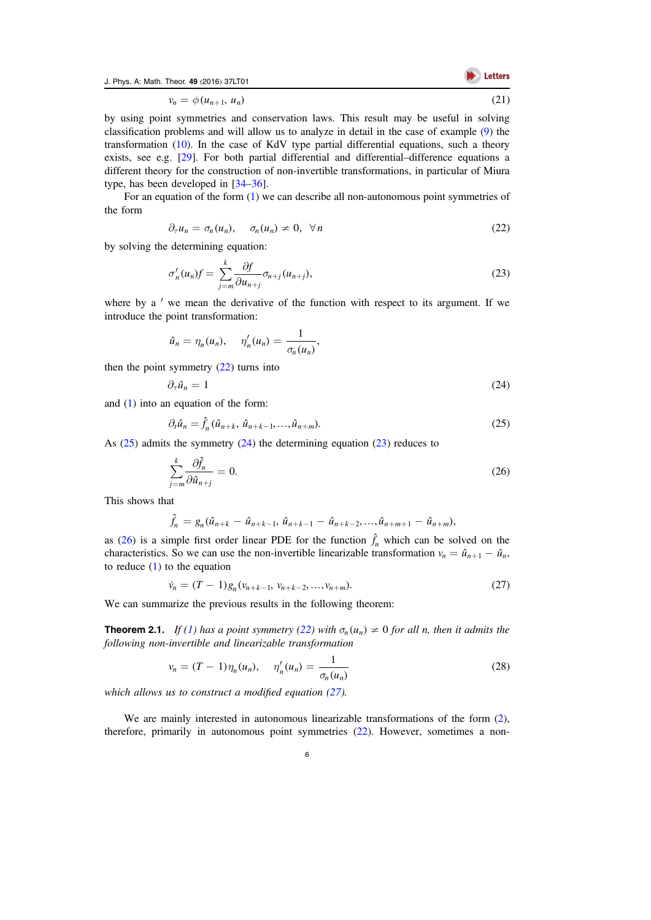J. Phys. A: Math. Theor. 49 (2016) 37LT01

$$
\bigotimes \text{ Letters}
$$

 $v_n = \phi(u_{n+1}, u_n)$  (21)

by using point symmetries and conservation laws. This result may be useful in solving classification problems and will allow us to analyze in detail in the case of example ([9](#page-3-1)) the transformation ([10](#page-3-3)). In the case of KdV type partial differential equations, such a theory exists, see e.g. [[29](#page-12-16)]. For both partial differential and differential–difference equations a different theory for the construction of non-invertible transformations, in particular of Miura type, has been developed in [[34](#page-12-17)–[36](#page-12-18)].

<span id="page-6-0"></span>For an equation of the form ([1](#page-2-0)) we can describe all non-autonomous point symmetries of the form

$$
\partial_{\tau}u_n = \sigma_n(u_n), \quad \sigma_n(u_n) \neq 0, \ \forall n
$$
\n(22)

<span id="page-6-3"></span>by solving the determining equation:

$$
\sigma'_n(u_n)f = \sum_{j=m}^k \frac{\partial f}{\partial u_{n+j}} \sigma_{n+j}(u_{n+j}),\tag{23}
$$

where by a ' we mean the derivative of the function with respect to its argument. If we introduce the point transformation:

$$
\hat{u}_n = \eta_n(u_n), \quad \eta'_n(u_n) = \frac{1}{\sigma_n(u_n)},
$$

<span id="page-6-2"></span>then the point symmetry  $(22)$  $(22)$  $(22)$  turns into

$$
\partial_{\tau}\hat{u}_n = 1 \tag{24}
$$

<span id="page-6-1"></span>and ([1](#page-2-0)) into an equation of the form:

$$
\partial_t \hat{u}_n = \hat{f}_n (\hat{u}_{n+k}, \hat{u}_{n+k-1}, \dots, \hat{u}_{n+m}). \tag{25}
$$

<span id="page-6-4"></span>As ([25](#page-6-1)) admits the symmetry ([24](#page-6-2)) the determining equation ([23](#page-6-3)) reduces to

$$
\sum_{j=m}^{k} \frac{\partial \hat{f}_n}{\partial \hat{u}_{n+j}} = 0.
$$
\n(26)

This shows that

$$
\hat{f}_n = g_n(\hat{u}_{n+k} - \hat{u}_{n+k-1}, \hat{u}_{n+k-1} - \hat{u}_{n+k-2}, \ldots, \hat{u}_{n+m+1} - \hat{u}_{n+m}),
$$

<span id="page-6-5"></span>as ([26](#page-6-4)) is a simple first order linear PDE for the function  $\hat{f}_n$  which can be solved on the characteristics. So we can use the non-invertible linearizable transformation  $v_n = \hat{u}_{n+1} - \hat{u}_n$ , to reduce  $(1)$  $(1)$  $(1)$  to the equation

$$
\dot{v}_n = (T - 1)g_n(v_{n+k-1}, v_{n+k-2}, \dots, v_{n+m}).
$$
\n(27)

We can summarize the previous results in the following theorem:

<span id="page-6-7"></span><span id="page-6-6"></span>**Theorem 2.[1](#page-2-0).** If (1) has a point symmetry ([22](#page-6-0)) with  $\sigma_n(u_n) \neq 0$  for all n, then it admits the following non-invertible and linearizable transformation

$$
v_n = (T - 1)\eta_n(u_n), \quad \eta'_n(u_n) = \frac{1}{\sigma_n(u_n)}
$$
\n(28)

which allows us to construct a modified equation ([27](#page-6-5)).

We are mainly interested in autonomous linearizable transformations of the form ([2](#page-2-3)), therefore, primarily in autonomous point symmetries ([22](#page-6-0)). However, sometimes a non-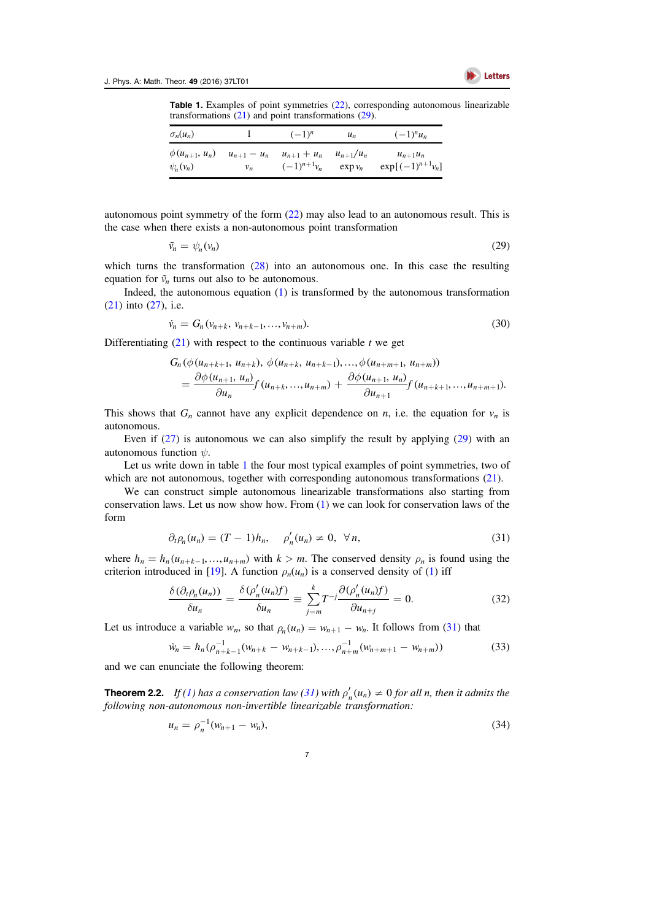<span id="page-7-1"></span>

Table 1. Examples of point symmetries ([22](#page-6-0)), corresponding autonomous linearizable transformations ([21](#page-5-4)) and point transformations ([29](#page-7-0)).

| $\sigma_n(u_n)$      |       | $(-1)^n$                        | $u_n$         | $(-1)^n u_n$          |
|----------------------|-------|---------------------------------|---------------|-----------------------|
| $\phi(u_{n+1}, u_n)$ | $v_n$ | $u_{n+1} - u_n$ $u_{n+1} + u_n$ | $u_{n+1}/u_n$ | $u_{n+1}u_n$          |
| $\psi_n(\nu_n)$      |       | $(-1)^{n+1}v_n$                 | $\exp v_n$    | $\exp[(-1)^{n+1}v_n]$ |

<span id="page-7-0"></span>autonomous point symmetry of the form ([22](#page-6-0)) may also lead to an autonomous result. This is the case when there exists a non-autonomous point transformation

$$
\tilde{\nu}_n = \psi_n(\nu_n) \tag{29}
$$

which turns the transformation ([28](#page-6-6)) into an autonomous one. In this case the resulting equation for  $\tilde{v}_n$  turns out also to be autonomous.

Indeed, the autonomous equation ([1](#page-2-0)) is transformed by the autonomous transformation ([21](#page-5-4)) into ([27](#page-6-5)), i.e.

$$
\dot{v}_n = G_n(v_{n+k}, v_{n+k-1}, \dots, v_{n+m}).
$$
\n(30)

Differentiating  $(21)$  $(21)$  $(21)$  with respect to the continuous variable t we get

$$
G_n(\phi(u_{n+k+1}, u_{n+k}), \phi(u_{n+k}, u_{n+k-1}),..., \phi(u_{n+m+1}, u_{n+m}))
$$
  
= 
$$
\frac{\partial \phi(u_{n+1}, u_n)}{\partial u_n} f(u_{n+k}, ..., u_{n+m}) + \frac{\partial \phi(u_{n+1}, u_n)}{\partial u_{n+1}} f(u_{n+k+1}, ..., u_{n+m+1}).
$$

This shows that  $G_n$  cannot have any explicit dependence on *n*, i.e. the equation for  $v_n$  is autonomous.

Even if  $(27)$  $(27)$  $(27)$  is autonomous we can also simplify the result by applying  $(29)$  $(29)$  $(29)$  with an autonomous function  $\psi$ .

Let us write down in table [1](#page-7-1) the four most typical examples of point symmetries, two of which are not autonomous, together with corresponding autonomous transformations ([21](#page-5-4)).

<span id="page-7-2"></span>We can construct simple autonomous linearizable transformations also starting from conservation laws. Let us now show how. From ([1](#page-2-0)) we can look for conservation laws of the form

$$
\partial_t \rho_n(u_n) = (T-1)h_n, \quad \rho'_n(u_n) \neq 0, \ \forall n,
$$
\n(31)

where  $h_n = h_n(u_{n+k-1},...,u_{n+m})$  with  $k > m$ . The conserved density  $\rho_n$  is found using the criterion introduced in [[19](#page-12-19)]. A function  $\rho_n(u_n)$  is a conserved density of ([1](#page-2-0)) iff

$$
\frac{\delta(\partial_t \rho_n(u_n))}{\delta u_n} = \frac{\delta(\rho'_n(u_n)f)}{\delta u_n} \equiv \sum_{j=m}^k T^{-j} \frac{\partial(\rho'_n(u_n)f)}{\partial u_{n+j}} = 0.
$$
\n(32)

<span id="page-7-3"></span>Let us introduce a variable  $w_n$ , so that  $\rho_n(u_n) = w_{n+1} - w_n$ . It follows from ([31](#page-7-2)) that

$$
\dot{w}_n = h_n(\rho_{n+k-1}^{-1}(w_{n+k} - w_{n+k-1}), \dots, \rho_{n+m}^{-1}(w_{n+m+1} - w_{n+m}))
$$
\n(33)

and we can enunciate the following theorem:

<span id="page-7-5"></span><span id="page-7-4"></span>**Theorem 2.2.** If ([1](#page-2-0)) has a conservation law ([31](#page-7-2)) with  $\rho'_n(u_n) \neq 0$  for all n, then it admits the following non-autonomous non-invertible linearizable transformation:

$$
u_n = \rho_n^{-1}(w_{n+1} - w_n),
$$
\n(34)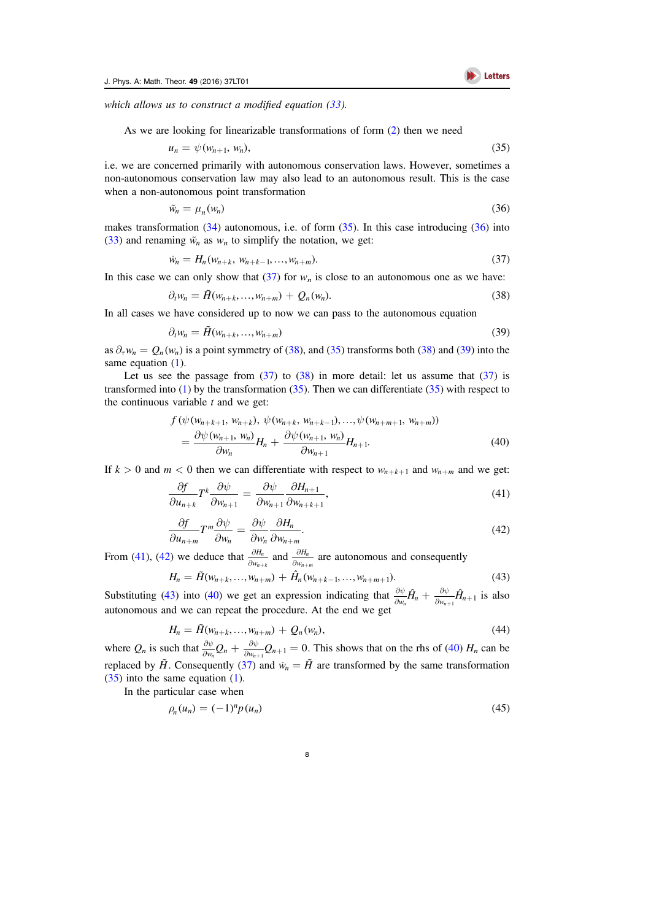<span id="page-8-0"></span>which allows us to construct a modified equation ([33](#page-7-3)).

As we are looking for linearizable transformations of form ([2](#page-2-3)) then we need

$$
u_n = \psi(w_{n+1}, w_n), \tag{35}
$$

<span id="page-8-1"></span>i.e. we are concerned primarily with autonomous conservation laws. However, sometimes a non-autonomous conservation law may also lead to an autonomous result. This is the case when a non-autonomous point transformation

$$
\tilde{w}_n = \mu_n(w_n) \tag{36}
$$

<span id="page-8-2"></span>makes transformation  $(34)$  $(34)$  $(34)$  autonomous, i.e. of form  $(35)$  $(35)$  $(35)$ . In this case introducing  $(36)$  $(36)$  $(36)$  into ([33](#page-7-3)) and renaming  $\tilde{w}_n$  as  $w_n$  to simplify the notation, we get:

$$
\dot{w}_n = H_n(w_{n+k}, w_{n+k-1}, \dots, w_{n+m}).
$$
\n(37)

<span id="page-8-3"></span>In this case we can only show that  $(37)$  $(37)$  $(37)$  for  $w_n$  is close to an autonomous one as we have:

$$
\partial_t w_n = \tilde{H}(w_{n+k}, \dots, w_{n+m}) + Q_n(w_n). \tag{38}
$$

<span id="page-8-4"></span>In all cases we have considered up to now we can pass to the autonomous equation

$$
\partial_t w_n = \tilde{H}(w_{n+k}, \dots, w_{n+m}) \tag{39}
$$

as  $\partial_{\tau} w_n = Q_n(w_n)$  is a point symmetry of ([38](#page-8-3)), and ([35](#page-8-0)) transforms both (38) and ([39](#page-8-4)) into the same equation ([1](#page-2-0)).

<span id="page-8-8"></span>Let us see the passage from  $(37)$  $(37)$  $(37)$  to  $(38)$  $(38)$  $(38)$  in more detail: let us assume that  $(37)$  is transformed into  $(1)$  $(1)$  $(1)$  by the transformation  $(35)$  $(35)$  $(35)$ . Then we can differentiate  $(35)$  with respect to the continuous variable  $t$  and we get:

$$
f(\psi(w_{n+k+1}, w_{n+k}), \psi(w_{n+k}, w_{n+k-1}), ..., \psi(w_{n+m+1}, w_{n+m}))
$$
  
= 
$$
\frac{\partial \psi(w_{n+1}, w_n)}{\partial w_n} H_n + \frac{\partial \psi(w_{n+1}, w_n)}{\partial w_{n+1}} H_{n+1}.
$$
 (40)

<span id="page-8-5"></span>If  $k > 0$  and  $m < 0$  then we can differentiate with respect to  $w_{n+k+1}$  and  $w_{n+m}$  and we get:

$$
\frac{\partial f}{\partial u_{n+k}} T^k \frac{\partial \psi}{\partial w_{n+1}} = \frac{\partial \psi}{\partial w_{n+1}} \frac{\partial H_{n+1}}{\partial w_{n+k+1}},\tag{41}
$$

$$
\frac{\partial f}{\partial u_{n+m}} T^m \frac{\partial \psi}{\partial w_n} = \frac{\partial \psi}{\partial w_n} \frac{\partial H_n}{\partial w_{n+m}}.
$$
\n(42)

<span id="page-8-7"></span><span id="page-8-6"></span>From ([41](#page-8-5)), ([42](#page-8-6)) we deduce that  $\frac{\partial H_n}{\partial w_{n+}}$ *H*  $\frac{\partial H_n}{w_{n+1}}$  $rac{H_n}{\partial w_{n+1}}$  and  $rac{\partial H_n}{\partial w_{n+1}}$ *H*  $\frac{\partial H_n}{\partial w_{n+1}}$  $\frac{n_n}{n+m}$  are autonomous and consequently

$$
H_n = \tilde{H}(w_{n+k}, \dots, w_{n+m}) + \hat{H}_n(w_{n+k-1}, \dots, w_{n+m+1}). \tag{43}
$$

Substituting ([43](#page-8-7)) into ([40](#page-8-8)) we get an expression indicating that  $\frac{\partial \psi}{\partial w_n} \hat{H}_n + \frac{\partial \psi}{\partial w_{n+1}} \hat{H}_n$  $\frac{\partial \psi}{\partial w_n} \hat{H}_n + \frac{\partial \psi}{\partial w_{n+1}} \hat{H}_{n+1}$  is also autonomous and we can repeat the procedure. At the end we get

$$
H_n = \tilde{H}(w_{n+k}, ..., w_{n+m}) + Q_n(w_n),
$$
\n(44)

where  $Q_n$  is such that  $\frac{\partial \psi}{\partial w_n} Q_n + \frac{\partial \psi}{\partial w_{n+1}} Q_{n+1} =$  $\frac{\partial \psi}{\partial w_n} Q_n + \frac{\partial \psi}{\partial w_{n+1}} Q_{n+1} = 0$ . This shows that on the rhs of ([40](#page-8-8))  $H_n$  can be replaced by  $\tilde{H}$ . Consequently ([37](#page-8-2)) and  $\dot{w}_n = \tilde{H}$  are transformed by the same transformation  $(35)$  $(35)$  $(35)$  into the same equation  $(1)$  $(1)$  $(1)$ .

<span id="page-8-9"></span>In the particular case when

$$
\rho_n(u_n) = (-1)^n p(u_n) \tag{45}
$$

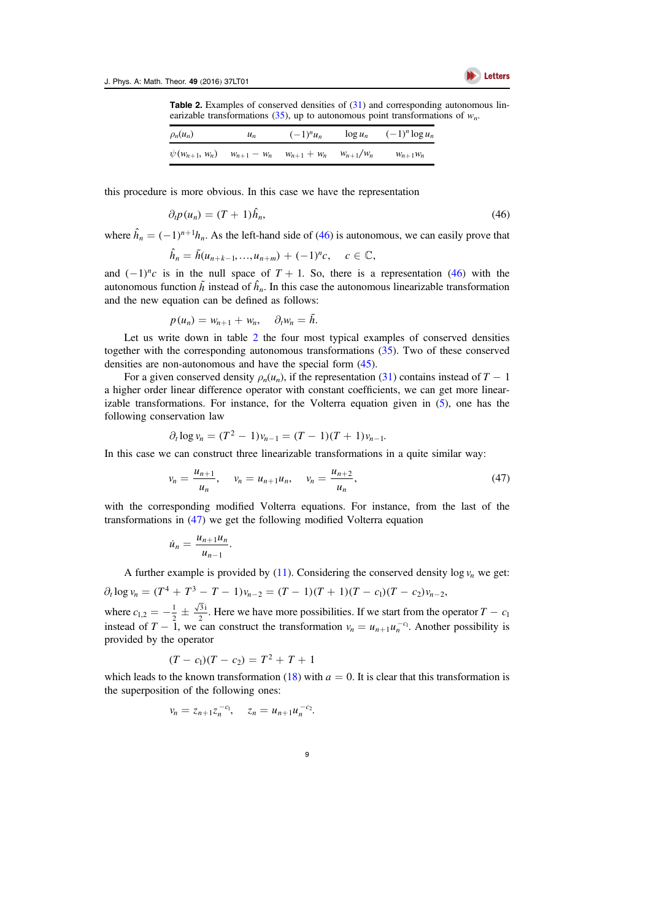<span id="page-9-1"></span>

**Table 2.** Examples of conserved densities of  $(31)$  $(31)$  $(31)$  and corresponding autonomous lin-earizable transformations ([35](#page-8-0)), up to autonomous point transformations of  $w_n$ .

| $\rho_n(u_n)$        | $u_n$           | $(-1)^n u_n$    | $\log u_n$    | $(-1)^n \log u_n$ |
|----------------------|-----------------|-----------------|---------------|-------------------|
| $\psi(w_{n+1}, w_n)$ | $w_{n+1} - w_n$ | $w_{n+1} + w_n$ | $W_{n+1}/W_n$ | $W_{n+1}W_n$      |

<span id="page-9-0"></span>this procedure is more obvious. In this case we have the representation

$$
\partial_t p(u_n) = (T+1)\hat{h}_n,\tag{46}
$$

where  $\hat{h}_n = (-1)^{n+1} h_n$ . As the left-hand side of ([46](#page-9-0)) is autonomous, we can easily prove that

$$
\hat{h}_n = \tilde{h}(u_{n+k-1},...,u_{n+m}) + (-1)^n c, \quad c \in \mathbb{C},
$$

and  $(-1)^n c$  is in the null space of  $T + 1$ . So, there is a representation ([46](#page-9-0)) with the autonomous function  $\tilde{h}$  instead of  $\hat{h}_n$ . In this case the autonomous linearizable transformation and the new equation can be defined as follows:

$$
p(u_n) = w_{n+1} + w_n, \quad \partial_t w_n = \tilde{h}.
$$

Let us write down in table [2](#page-9-1) the four most typical examples of conserved densities together with the corresponding autonomous transformations ([35](#page-8-0)). Two of these conserved densities are non-autonomous and have the special form ([45](#page-8-9)).

For a given conserved density  $\rho_n(u_n)$ , if the representation ([31](#page-7-2)) contains instead of  $T - 1$ a higher order linear difference operator with constant coefficients, we can get more linearizable transformations. For instance, for the Volterra equation given in  $(5)$  $(5)$  $(5)$ , one has the following conservation law

$$
\partial_t \log v_n = (T^2 - 1)v_{n-1} = (T - 1)(T + 1)v_{n-1}.
$$

<span id="page-9-2"></span>In this case we can construct three linearizable transformations in a quite similar way:

$$
v_n = \frac{u_{n+1}}{u_n}, \quad v_n = u_{n+1}u_n, \quad v_n = \frac{u_{n+2}}{u_n}, \tag{47}
$$

with the corresponding modified Volterra equations. For instance, from the last of the transformations in ([47](#page-9-2)) we get the following modified Volterra equation

$$
\dot{u}_n = \frac{u_{n+1}u_n}{u_{n-1}}.
$$

A further example is provided by ([11](#page-3-6)). Considering the conserved density  $\log v_n$  we get:

 $\partial_t \log v_n = (T^4 + T^3 - T - 1)v_{n-2} = (T - 1)(T + 1)(T - c_1)(T - c_2)v_{n-2}$ where  $c_{1,2} = -\frac{1}{2} \pm \frac{1}{2}$  $\frac{3i}{2}$ . Here we have more possibilities. If we start from the operator  $T - c_1$ instead of  $T - 1$ , we can construct the transformation  $v_n = u_{n+1} u_n^{-c_1}$ . Another possibility is provided by the operator

$$
(T - c_1)(T - c_2) = T^2 + T + 1
$$

which leads to the known transformation ([18](#page-5-1)) with  $a = 0$ . It is clear that this transformation is the superposition of the following ones:

$$
v_n = z_{n+1} z_n^{-c_1}, \quad z_n = u_{n+1} u_n^{-c_2}.
$$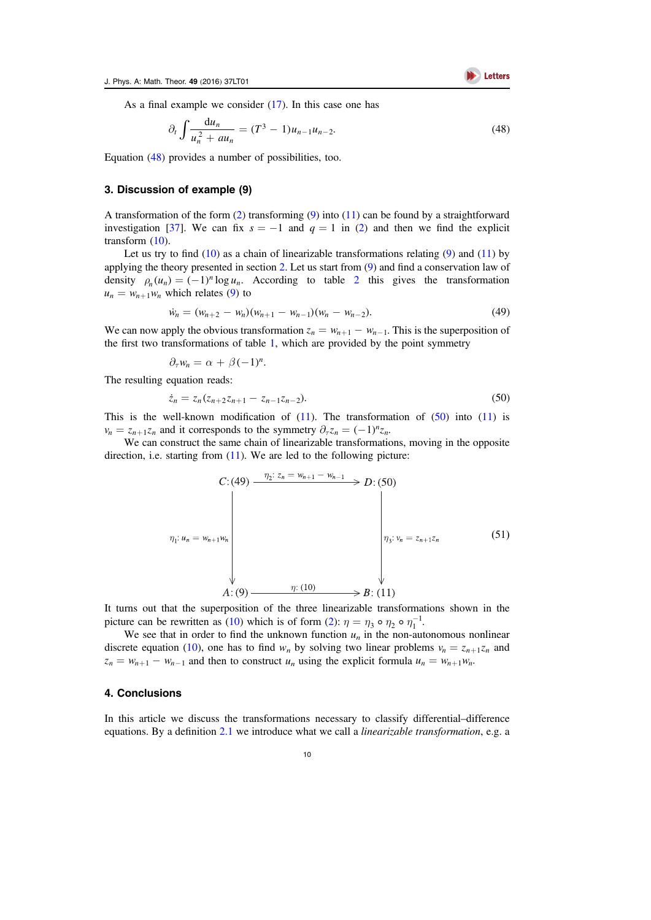Letters

<span id="page-10-3"></span>As a final example we consider ([17](#page-5-0)). In this case one has

$$
\partial_t \int \frac{\mathrm{d}u_n}{u_n^2 + au_n} = (T^3 - 1)u_{n-1}u_{n-2}.\tag{48}
$$

Equation ([48](#page-10-3)) provides a number of possibilities, too.

#### <span id="page-10-0"></span>3. Discussion of example (9)

A transformation of the form  $(2)$  $(2)$  $(2)$  transforming  $(9)$  $(9)$  $(9)$  into  $(11)$  $(11)$  $(11)$  can be found by a straightforward investigation [[37](#page-12-2)]. We can fix  $s = -1$  and  $q = 1$  in ([2](#page-2-3)) and then we find the explicit transform ([10](#page-3-3)).

Let us try to find  $(10)$  $(10)$  $(10)$  as a chain of linearizable transformations relating  $(9)$  $(9)$  $(9)$  and  $(11)$  $(11)$  $(11)$  by applying the theory presented in section [2.](#page-3-2) Let us start from ([9](#page-3-1)) and find a conservation law of density  $\rho_n(u_n) = (-1)^n \log u_n$ . According to table [2](#page-9-1) this gives the transformation  $u_n = w_{n+1} w_n$  which relates ([9](#page-3-1)) to

$$
\dot{w}_n = (w_{n+2} - w_n)(w_{n+1} - w_{n-1})(w_n - w_{n-2}).
$$
\n(49)

We can now apply the obvious transformation  $z_n = w_{n+1} - w_{n-1}$ . This is the superposition of the first two transformations of table [1,](#page-7-1) which are provided by the point symmetry

 $\partial_{\tau}w_n = \alpha + \beta (-1)^n$ .

<span id="page-10-4"></span>The resulting equation reads:

$$
\dot{z}_n = z_n (z_{n+2} z_{n+1} - z_{n-1} z_{n-2}). \tag{50}
$$

This is the well-known modification of  $(11)$  $(11)$  $(11)$ . The transformation of  $(50)$  $(50)$  $(50)$  into  $(11)$  is  $v_n = z_{n+1} z_n$  and it corresponds to the symmetry  $\partial_\tau z_n = (-1)^n z_n$ .

<span id="page-10-2"></span>We can construct the same chain of linearizable transformations, moving in the opposite direction, i.e. starting from  $(11)$  $(11)$  $(11)$ . We are led to the following picture:

$$
C: (49) \xrightarrow{\eta_2: z_n = w_{n+1} - w_{n-1}} D: (50)
$$
\n
$$
\eta_1: u_n = w_{n+1}w_n
$$
\n
$$
\downarrow \eta_3: v_n = z_{n+1}z_n
$$
\n(51)\n
$$
A: (9) \xrightarrow{\eta_1: (10)} B: (11)
$$

It turns out that the superposition of the three linearizable transformations shown in the picture can be rewritten as ([10](#page-3-3)) which is of form ([2](#page-2-3)):  $\eta = \eta_3 \circ \eta_2 \circ \eta_1^{-1}$ .

We see that in order to find the unknown function  $u_n$  in the non-autonomous nonlinear discrete equation ([10](#page-3-3)), one has to find  $w_n$  by solving two linear problems  $v_n = z_{n+1}z_n$  and  $z_n = w_{n+1} - w_{n-1}$  and then to construct  $u_n$  using the explicit formula  $u_n = w_{n+1} w_n$ .

### <span id="page-10-1"></span>4. Conclusions

In this article we discuss the transformations necessary to classify differential–difference equations. By a definition [2.1](#page-4-3) we introduce what we call a *linearizable transformation*, e.g. a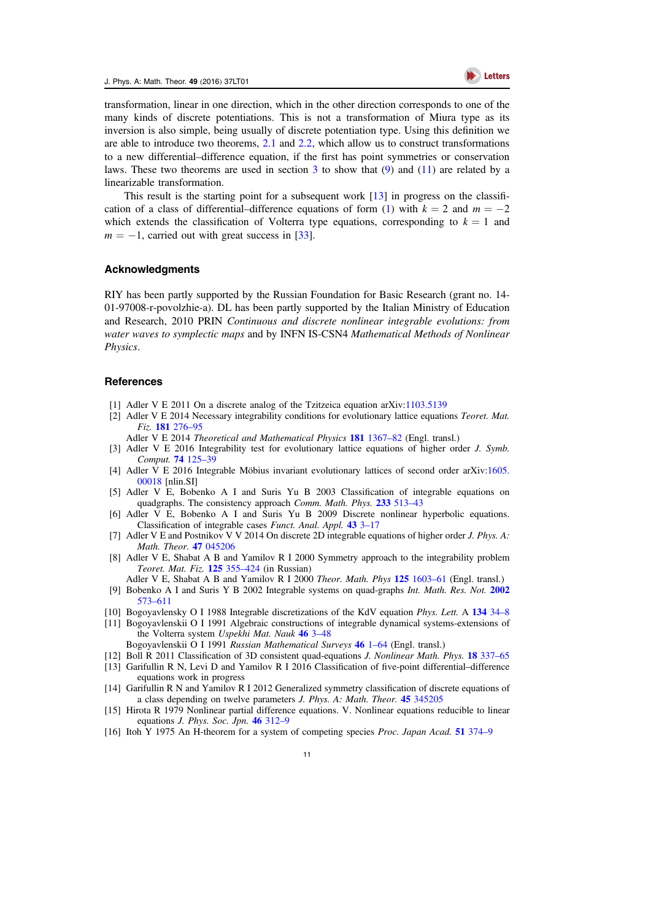

transformation, linear in one direction, which in the other direction corresponds to one of the many kinds of discrete potentiations. This is not a transformation of Miura type as its inversion is also simple, being usually of discrete potentiation type. Using this definition we are able to introduce two theorems, [2.1](#page-6-7) and [2.2](#page-7-5), which allow us to construct transformations to a new differential–difference equation, if the first has point symmetries or conservation laws. These two theorems are used in section  $3$  to show that  $(9)$  $(9)$  $(9)$  and  $(11)$  $(11)$  $(11)$  are related by a linearizable transformation.

This result is the starting point for a subsequent work  $[13]$  $[13]$  $[13]$  in progress on the classifi-cation of a class of differential–difference equations of form ([1](#page-2-0)) with  $k = 2$  and  $m = -2$ which extends the classification of Volterra type equations, corresponding to  $k = 1$  and  $m = -1$ , carried out with great success in [[33](#page-12-20)].

## Acknowledgments

RIY has been partly supported by the Russian Foundation for Basic Research (grant no. 14- 01-97008-r-povolzhie-a). DL has been partly supported by the Italian Ministry of Education and Research, 2010 PRIN Continuous and discrete nonlinear integrable evolutions: from water waves to symplectic maps and by INFN IS-CSN4 Mathematical Methods of Nonlinear Physics.

#### References

- <span id="page-11-6"></span>[1] Adler V E 2011 On a discrete analog of the Tzitzeica equation arXiv:[1103.5139](http://arxiv.org/abs/1103.5139)
- <span id="page-11-10"></span>[2] Adler V E 2014 Necessary integrability conditions for evolutionary lattice equations Teoret. Mat. Fiz. 181 [276](http://dx.doi.org/10.4213/tmf8722)–95
- Adler V E 2014 Theoretical and Mathematical Physics 181 [1367](http://dx.doi.org/10.1007/s11232-014-0218-2)–82 (Engl. transl.)
- [3] Adler V E 2016 Integrability test for evolutionary lattice equations of higher order J. Symb. Comput. **74** [125](http://dx.doi.org/10.1016/j.jsc.2015.05.008)-39
- <span id="page-11-11"></span>[4] Adler V E 2016 Integrable Möbius invariant evolutionary lattices of second order arXiv[:1605.](http://arxiv.org/abs/1605.00018) [00018](http://arxiv.org/abs/1605.00018) [nlin.SI]
- <span id="page-11-3"></span>[5] Adler V E, Bobenko A I and Suris Yu B 2003 Classification of integrable equations on quadgraphs. The consistency approach Comm. Math. Phys. 233 [513](http://dx.doi.org/10.1007/s00220-002-0762-8)-43
- <span id="page-11-4"></span>[6] Adler V E, Bobenko A I and Suris Yu B 2009 Discrete nonlinear hyperbolic equations. Classification of integrable cases Funct. Anal. Appl. [43](http://dx.doi.org/10.1007/s10688-009-0002-5) 3–[17](http://dx.doi.org/10.1007/s10688-009-0002-5)
- <span id="page-11-7"></span>[7] Adler V E and Postnikov V V 2014 On discrete 2D integrable equations of higher order J. Phys. A: Math. Theor. 47 [045206](http://dx.doi.org/10.1088/1751-8113/47/4/045206)
- <span id="page-11-0"></span>[8] Adler V E, Shabat A B and Yamilov R I 2000 Symmetry approach to the integrability problem Teoret. Mat. Fiz. 125 [355](http://dx.doi.org/10.4213/tmf675)–424 (in Russian)
- <span id="page-11-2"></span>Adler V E, Shabat A B and Yamilov R I 2000 Theor. Math. Phys 125 [1603](http://dx.doi.org/10.1023/A:1026602012111)–61 (Engl. transl.) [9] Bobenko A I and Suris Y B 2002 Integrable systems on quad-graphs Int. Math. Res. Not. [2002](http://dx.doi.org/10.1155/S1073792802110075)
- [573](http://dx.doi.org/10.1155/S1073792802110075)–[611](http://dx.doi.org/10.1155/S1073792802110075)
- <span id="page-11-9"></span><span id="page-11-8"></span>[10] Bogoyavlensky O I 1988 Integrable discretizations of the KdV equation Phys. Lett. A [134](http://dx.doi.org/10.1016/0375-9601(88)90542-7) 34–8 [11] Bogoyavlenskii O I 1991 Algebraic constructions of integrable dynamical systems-extensions of
- the Volterra system Uspekhi Mat. Nauk [46](http://dx.doi.org/10.1070/RM1991v046n03ABEH002801) 3-48
- Bogoyavlenskii O I 1991 Russian Mathematical Surveys [46](http://dx.doi.org/10.1070/RM1991v046n03ABEH002801) 1–[64](http://dx.doi.org/10.1070/RM1991v046n03ABEH002801) (Engl. transl.)
- <span id="page-11-5"></span>[12] Boll R 2011 Classification of 3D consistent quad-equations J. Nonlinear Math. Phys. 18 [337](http://dx.doi.org/10.1142/S1402925111001647)–65
- <span id="page-11-12"></span>[13] Garifullin R N, Levi D and Yamilov R I 2016 Classification of five-point differential–difference equations work in progress
- <span id="page-11-1"></span>[14] Garifullin R N and Yamilov R I 2012 Generalized symmetry classification of discrete equations of a class depending on twelve parameters J. Phys. A: Math. Theor. 45 [345205](http://dx.doi.org/10.1088/1751-8113/45/34/345205)
- <span id="page-11-14"></span>[15] Hirota R 1979 Nonlinear partial difference equations. V. Nonlinear equations reducible to linear equations J. Phys. Soc. Jpn. 46 [312](http://dx.doi.org/10.1143/JPSJ.46.312)–9
- <span id="page-11-13"></span>[16] Itoh Y 1975 An H-theorem for a system of competing species Proc. Japan Acad. 51 [374](http://dx.doi.org/10.3792/pja/1195518557)–9